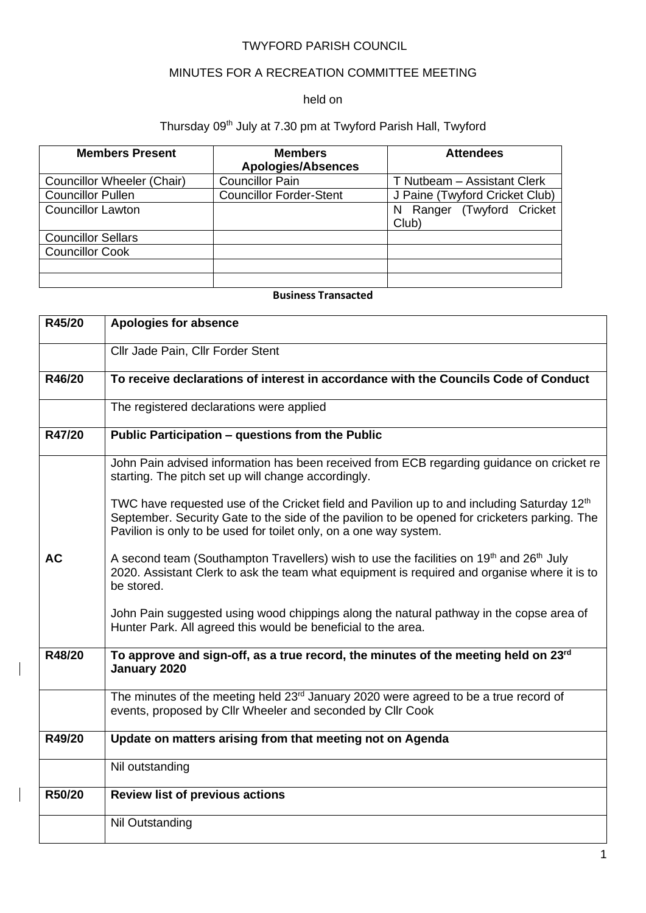### TWYFORD PARISH COUNCIL

# MINUTES FOR A RECREATION COMMITTEE MEETING

## held on

# Thursday 09<sup>th</sup> July at 7.30 pm at Twyford Parish Hall, Twyford

| <b>Members Present</b>     | <b>Members</b><br><b>Apologies/Absences</b> | <b>Attendees</b>                       |
|----------------------------|---------------------------------------------|----------------------------------------|
| Councillor Wheeler (Chair) | <b>Councillor Pain</b>                      | T Nutbeam - Assistant Clerk            |
| <b>Councillor Pullen</b>   | <b>Councillor Forder-Stent</b>              | J Paine (Twyford Cricket Club)         |
| <b>Councillor Lawton</b>   |                                             | Ranger (Twyford Cricket<br>N.<br>Club) |
| <b>Councillor Sellars</b>  |                                             |                                        |
| <b>Councillor Cook</b>     |                                             |                                        |
|                            |                                             |                                        |
|                            |                                             |                                        |

### **Business Transacted**

| R45/20    | <b>Apologies for absence</b>                                                                                                                                                                                                                                                 |
|-----------|------------------------------------------------------------------------------------------------------------------------------------------------------------------------------------------------------------------------------------------------------------------------------|
|           | Cllr Jade Pain, Cllr Forder Stent                                                                                                                                                                                                                                            |
| R46/20    | To receive declarations of interest in accordance with the Councils Code of Conduct                                                                                                                                                                                          |
|           | The registered declarations were applied                                                                                                                                                                                                                                     |
| R47/20    | Public Participation - questions from the Public                                                                                                                                                                                                                             |
|           | John Pain advised information has been received from ECB regarding guidance on cricket re<br>starting. The pitch set up will change accordingly.                                                                                                                             |
|           | TWC have requested use of the Cricket field and Pavilion up to and including Saturday 12 <sup>th</sup><br>September. Security Gate to the side of the pavilion to be opened for cricketers parking. The<br>Pavilion is only to be used for toilet only, on a one way system. |
| <b>AC</b> | A second team (Southampton Travellers) wish to use the facilities on 19 <sup>th</sup> and 26 <sup>th</sup> July<br>2020. Assistant Clerk to ask the team what equipment is required and organise where it is to<br>be stored.                                                |
|           | John Pain suggested using wood chippings along the natural pathway in the copse area of<br>Hunter Park. All agreed this would be beneficial to the area.                                                                                                                     |
| R48/20    | To approve and sign-off, as a true record, the minutes of the meeting held on 23rd<br>January 2020                                                                                                                                                                           |
|           | The minutes of the meeting held 23 <sup>rd</sup> January 2020 were agreed to be a true record of<br>events, proposed by Cllr Wheeler and seconded by Cllr Cook                                                                                                               |
| R49/20    | Update on matters arising from that meeting not on Agenda                                                                                                                                                                                                                    |
|           | Nil outstanding                                                                                                                                                                                                                                                              |
| R50/20    | <b>Review list of previous actions</b>                                                                                                                                                                                                                                       |
|           | Nil Outstanding                                                                                                                                                                                                                                                              |

 $\overline{\phantom{a}}$ 

 $\overline{\phantom{a}}$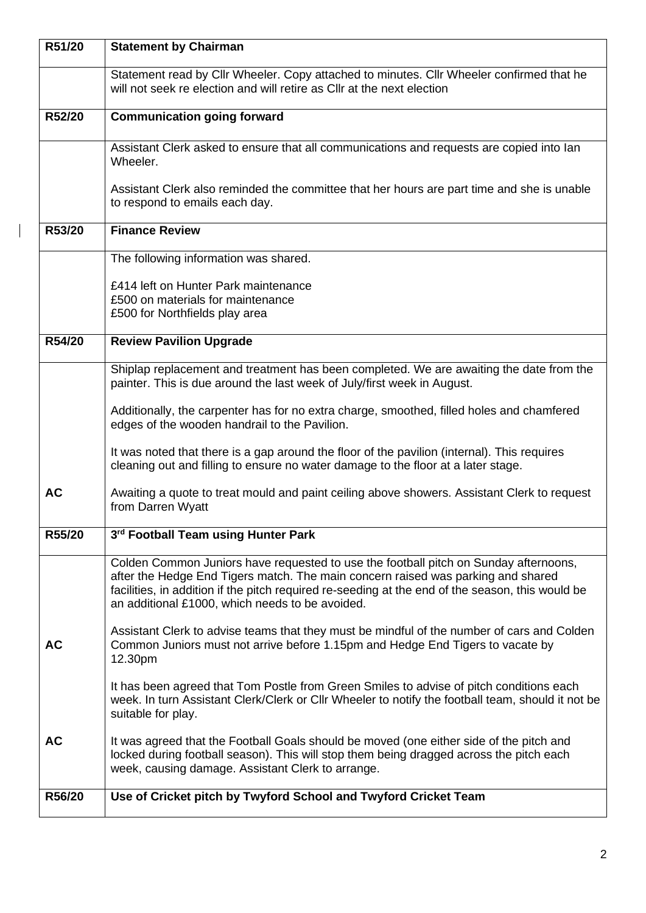| R51/20    | <b>Statement by Chairman</b>                                                                                                                                                                                                                                                                                                    |  |
|-----------|---------------------------------------------------------------------------------------------------------------------------------------------------------------------------------------------------------------------------------------------------------------------------------------------------------------------------------|--|
|           | Statement read by Cllr Wheeler. Copy attached to minutes. Cllr Wheeler confirmed that he<br>will not seek re election and will retire as CIIr at the next election                                                                                                                                                              |  |
| R52/20    | <b>Communication going forward</b>                                                                                                                                                                                                                                                                                              |  |
|           | Assistant Clerk asked to ensure that all communications and requests are copied into lan<br>Wheeler.                                                                                                                                                                                                                            |  |
|           | Assistant Clerk also reminded the committee that her hours are part time and she is unable<br>to respond to emails each day.                                                                                                                                                                                                    |  |
| R53/20    | <b>Finance Review</b>                                                                                                                                                                                                                                                                                                           |  |
|           | The following information was shared.                                                                                                                                                                                                                                                                                           |  |
|           | £414 left on Hunter Park maintenance                                                                                                                                                                                                                                                                                            |  |
|           | £500 on materials for maintenance<br>£500 for Northfields play area                                                                                                                                                                                                                                                             |  |
| R54/20    | <b>Review Pavilion Upgrade</b>                                                                                                                                                                                                                                                                                                  |  |
|           | Shiplap replacement and treatment has been completed. We are awaiting the date from the                                                                                                                                                                                                                                         |  |
|           | painter. This is due around the last week of July/first week in August.                                                                                                                                                                                                                                                         |  |
|           | Additionally, the carpenter has for no extra charge, smoothed, filled holes and chamfered<br>edges of the wooden handrail to the Pavilion.                                                                                                                                                                                      |  |
|           | It was noted that there is a gap around the floor of the pavilion (internal). This requires<br>cleaning out and filling to ensure no water damage to the floor at a later stage.                                                                                                                                                |  |
| <b>AC</b> | Awaiting a quote to treat mould and paint ceiling above showers. Assistant Clerk to request<br>from Darren Wyatt                                                                                                                                                                                                                |  |
| R55/20    | 3rd Football Team using Hunter Park                                                                                                                                                                                                                                                                                             |  |
|           | Colden Common Juniors have requested to use the football pitch on Sunday afternoons,<br>after the Hedge End Tigers match. The main concern raised was parking and shared<br>facilities, in addition if the pitch required re-seeding at the end of the season, this would be<br>an additional £1000, which needs to be avoided. |  |
| <b>AC</b> | Assistant Clerk to advise teams that they must be mindful of the number of cars and Colden<br>Common Juniors must not arrive before 1.15pm and Hedge End Tigers to vacate by<br>12.30pm                                                                                                                                         |  |
|           | It has been agreed that Tom Postle from Green Smiles to advise of pitch conditions each<br>week. In turn Assistant Clerk/Clerk or Cllr Wheeler to notify the football team, should it not be<br>suitable for play.                                                                                                              |  |
| <b>AC</b> | It was agreed that the Football Goals should be moved (one either side of the pitch and<br>locked during football season). This will stop them being dragged across the pitch each<br>week, causing damage. Assistant Clerk to arrange.                                                                                         |  |
| R56/20    | Use of Cricket pitch by Twyford School and Twyford Cricket Team                                                                                                                                                                                                                                                                 |  |

 $\overline{1}$